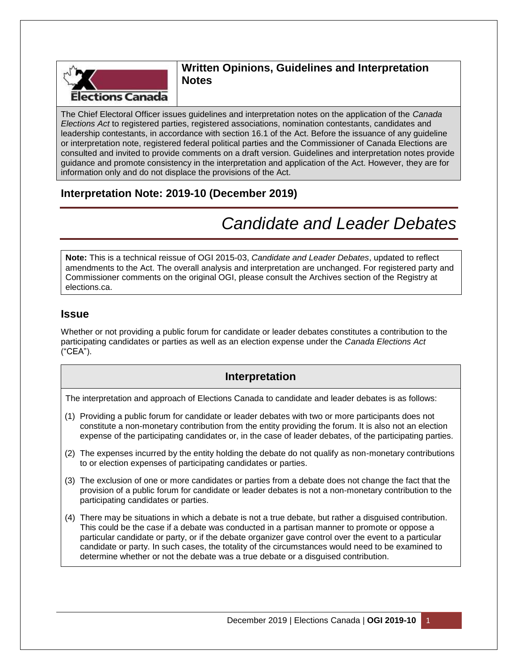

#### **Written Opinions, Guidelines and Interpretation Notes**

The Chief Electoral Officer issues guidelines and interpretation notes on the application of the *Canada Elections Act* to registered parties, registered associations, nomination contestants, candidates and leadership contestants, in accordance with section 16.1 of the Act. Before the issuance of any guideline or interpretation note, registered federal political parties and the Commissioner of Canada Elections are consulted and invited to provide comments on a draft version. Guidelines and interpretation notes provide guidance and promote consistency in the interpretation and application of the Act. However, they are for information only and do not displace the provisions of the Act.

## **Interpretation Note: 2019-10 (December 2019)**

# *Candidate and Leader Debates*

**Note:** This is a technical reissue of OGI 2015-03, *Candidate and Leader Debates*, updated to reflect amendments to the Act. The overall analysis and interpretation are unchanged. For registered party and Commissioner comments on the original OGI, please consult the Archives section of the Registry at elections.ca.

#### **Issue**

Whether or not providing a public forum for candidate or leader debates constitutes a contribution to the participating candidates or parties as well as an election expense under the *Canada Elections Act* ("CEA").

#### **Interpretation**

The interpretation and approach of Elections Canada to candidate and leader debates is as follows:

- (1) Providing a public forum for candidate or leader debates with two or more participants does not constitute a non-monetary contribution from the entity providing the forum. It is also not an election expense of the participating candidates or, in the case of leader debates, of the participating parties.
- (2) The expenses incurred by the entity holding the debate do not qualify as non-monetary contributions to or election expenses of participating candidates or parties.
- (3) The exclusion of one or more candidates or parties from a debate does not change the fact that the provision of a public forum for candidate or leader debates is not a non-monetary contribution to the participating candidates or parties.
- (4) There may be situations in which a debate is not a true debate, but rather a disguised contribution. This could be the case if a debate was conducted in a partisan manner to promote or oppose a particular candidate or party, or if the debate organizer gave control over the event to a particular candidate or party. In such cases, the totality of the circumstances would need to be examined to determine whether or not the debate was a true debate or a disguised contribution.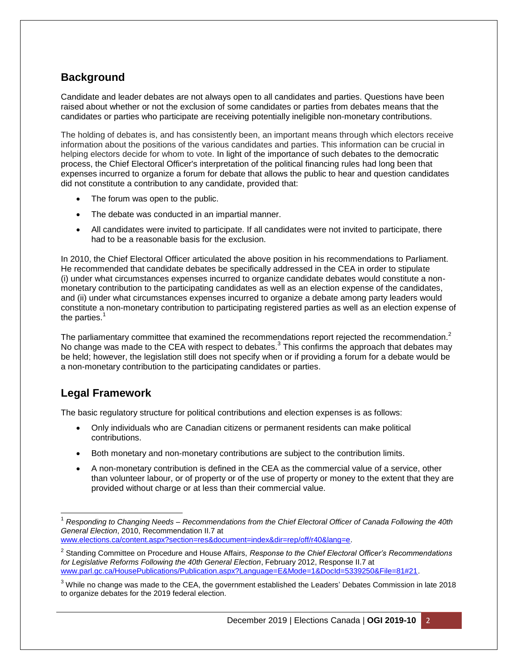## **Background**

Candidate and leader debates are not always open to all candidates and parties. Questions have been raised about whether or not the exclusion of some candidates or parties from debates means that the candidates or parties who participate are receiving potentially ineligible non-monetary contributions.

The holding of debates is, and has consistently been, an important means through which electors receive information about the positions of the various candidates and parties. This information can be crucial in helping electors decide for whom to vote. In light of the importance of such debates to the democratic process, the Chief Electoral Officer's interpretation of the political financing rules had long been that expenses incurred to organize a forum for debate that allows the public to hear and question candidates did not constitute a contribution to any candidate, provided that:

- The forum was open to the public.
- The debate was conducted in an impartial manner.
- All candidates were invited to participate. If all candidates were not invited to participate, there had to be a reasonable basis for the exclusion.

In 2010, the Chief Electoral Officer articulated the above position in his recommendations to Parliament. He recommended that candidate debates be specifically addressed in the CEA in order to stipulate (i) under what circumstances expenses incurred to organize candidate debates would constitute a nonmonetary contribution to the participating candidates as well as an election expense of the candidates, and (ii) under what circumstances expenses incurred to organize a debate among party leaders would constitute a non-monetary contribution to participating registered parties as well as an election expense of the parties. $<sup>1</sup>$ </sup>

The parliamentary committee that examined the recommendations report rejected the recommendation.<sup>2</sup> No change was made to the CEA with respect to debates.<sup>3</sup> This confirms the approach that debates may be held; however, the legislation still does not specify when or if providing a forum for a debate would be a non-monetary contribution to the participating candidates or parties.

#### **Legal Framework**

The basic regulatory structure for political contributions and election expenses is as follows:

- Only individuals who are Canadian citizens or permanent residents can make political contributions.
- Both monetary and non-monetary contributions are subject to the contribution limits.
- A non-monetary contribution is defined in the CEA as the commercial value of a service, other than volunteer labour, or of property or of the use of property or money to the extent that they are provided without charge or at less than their commercial value.

 $\overline{\phantom{a}}$ <sup>1</sup> *Responding to Changing Needs – Recommendations from the Chief Electoral Officer of Canada Following the 40th General Election*, 2010, Recommendation II.7 at [www.elections.ca/content.aspx?section=res&document=index&dir=rep/off/r40&lang=e.](http://www.elections.ca/content.aspx?section=res&document=index&dir=rep/off/r40&lang=e)

<sup>2</sup> Standing Committee on Procedure and House Affairs, *Response to the Chief Electoral Officer's Recommendations for Legislative Reforms Following the 40th General Election*, February 2012, Response II.7 at [www.parl.gc.ca/HousePublications/Publication.aspx?Language=E&Mode=1&DocId=5339250&File=81#21.](http://www.parl.gc.ca/HousePublications/Publication.aspx?Language=E&Mode=1&DocId=5339250&File=81#21)

 $3$  While no change was made to the CEA, the government established the Leaders' Debates Commission in late 2018 to organize debates for the 2019 federal election.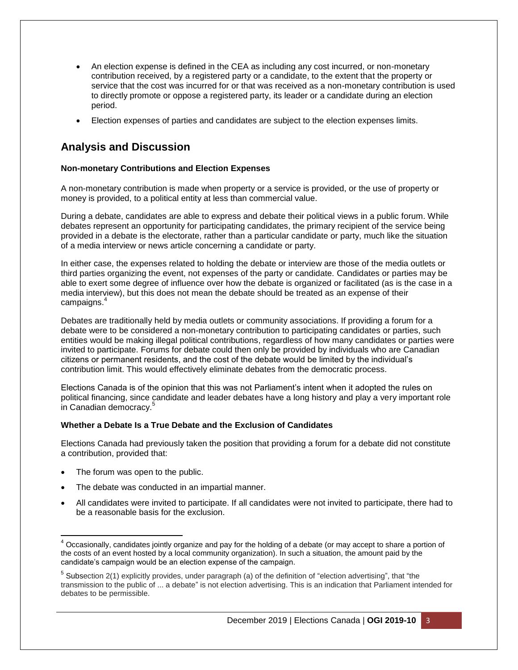- An election expense is defined in the CEA as including any cost incurred, or non-monetary contribution received, by a registered party or a candidate, to the extent that the property or service that the cost was incurred for or that was received as a non-monetary contribution is used to directly promote or oppose a registered party, its leader or a candidate during an election period.
- Election expenses of parties and candidates are subject to the election expenses limits.

### **Analysis and Discussion**

#### **Non-monetary Contributions and Election Expenses**

A non-monetary contribution is made when property or a service is provided, or the use of property or money is provided, to a political entity at less than commercial value.

During a debate, candidates are able to express and debate their political views in a public forum. While debates represent an opportunity for participating candidates, the primary recipient of the service being provided in a debate is the electorate, rather than a particular candidate or party, much like the situation of a media interview or news article concerning a candidate or party.

In either case, the expenses related to holding the debate or interview are those of the media outlets or third parties organizing the event, not expenses of the party or candidate. Candidates or parties may be able to exert some degree of influence over how the debate is organized or facilitated (as is the case in a media interview), but this does not mean the debate should be treated as an expense of their campaigns. 4

Debates are traditionally held by media outlets or community associations. If providing a forum for a debate were to be considered a non-monetary contribution to participating candidates or parties, such entities would be making illegal political contributions, regardless of how many candidates or parties were invited to participate. Forums for debate could then only be provided by individuals who are Canadian citizens or permanent residents, and the cost of the debate would be limited by the individual's contribution limit. This would effectively eliminate debates from the democratic process.

Elections Canada is of the opinion that this was not Parliament's intent when it adopted the rules on political financing, since candidate and leader debates have a long history and play a very important role in Canadian democracy.<sup>5</sup>

#### **Whether a Debate Is a True Debate and the Exclusion of Candidates**

Elections Canada had previously taken the position that providing a forum for a debate did not constitute a contribution, provided that:

- The forum was open to the public.
- The debate was conducted in an impartial manner.
- All candidates were invited to participate. If all candidates were not invited to participate, there had to be a reasonable basis for the exclusion.

 $\overline{a}$  $4$  Occasionally, candidates jointly organize and pay for the holding of a debate (or may accept to share a portion of the costs of an event hosted by a local community organization). In such a situation, the amount paid by the candidate's campaign would be an election expense of the campaign.

<sup>&</sup>lt;sup>5</sup> Subsection 2(1) explicitly provides, under paragraph (a) of the definition of "election advertising", that "the transmission to the public of ... a debate" is not election advertising. This is an indication that Parliament intended for debates to be permissible.